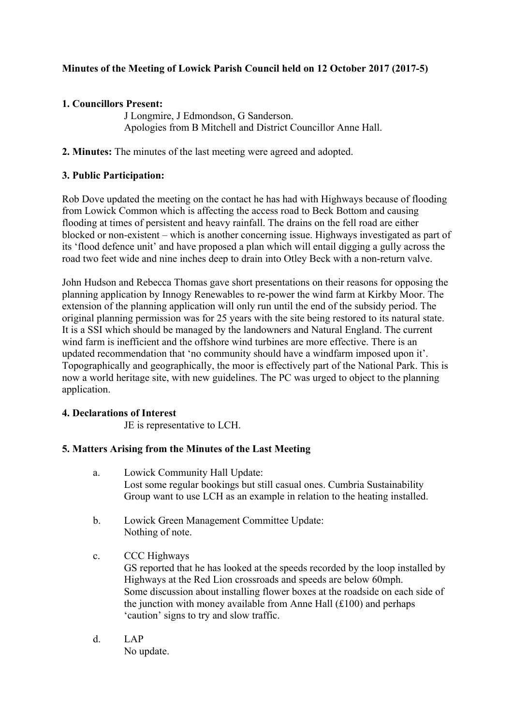# **Minutes of the Meeting of Lowick Parish Council held on 12 October 2017 (2017-5)**

# **1. Councillors Present:**

J Longmire, J Edmondson, G Sanderson. Apologies from B Mitchell and District Councillor Anne Hall.

**2. Minutes:** The minutes of the last meeting were agreed and adopted.

# **3. Public Participation:**

Rob Dove updated the meeting on the contact he has had with Highways because of flooding from Lowick Common which is affecting the access road to Beck Bottom and causing flooding at times of persistent and heavy rainfall. The drains on the fell road are either blocked or non-existent – which is another concerning issue. Highways investigated as part of its 'flood defence unit' and have proposed a plan which will entail digging a gully across the road two feet wide and nine inches deep to drain into Otley Beck with a non-return valve.

John Hudson and Rebecca Thomas gave short presentations on their reasons for opposing the planning application by Innogy Renewables to re-power the wind farm at Kirkby Moor. The extension of the planning application will only run until the end of the subsidy period. The original planning permission was for 25 years with the site being restored to its natural state. It is a SSI which should be managed by the landowners and Natural England. The current wind farm is inefficient and the offshore wind turbines are more effective. There is an updated recommendation that 'no community should have a windfarm imposed upon it'. Topographically and geographically, the moor is effectively part of the National Park. This is now a world heritage site, with new guidelines. The PC was urged to object to the planning application.

## **4. Declarations of Interest**

JE is representative to LCH.

# **5. Matters Arising from the Minutes of the Last Meeting**

- a. Lowick Community Hall Update: Lost some regular bookings but still casual ones. Cumbria Sustainability Group want to use LCH as an example in relation to the heating installed.
- b. Lowick Green Management Committee Update: Nothing of note.
- c. CCC Highways GS reported that he has looked at the speeds recorded by the loop installed by Highways at the Red Lion crossroads and speeds are below 60mph. Some discussion about installing flower boxes at the roadside on each side of the junction with money available from Anne Hall  $(\text{\textsterling}100)$  and perhaps 'caution' signs to try and slow traffic.
- d. LAP No update.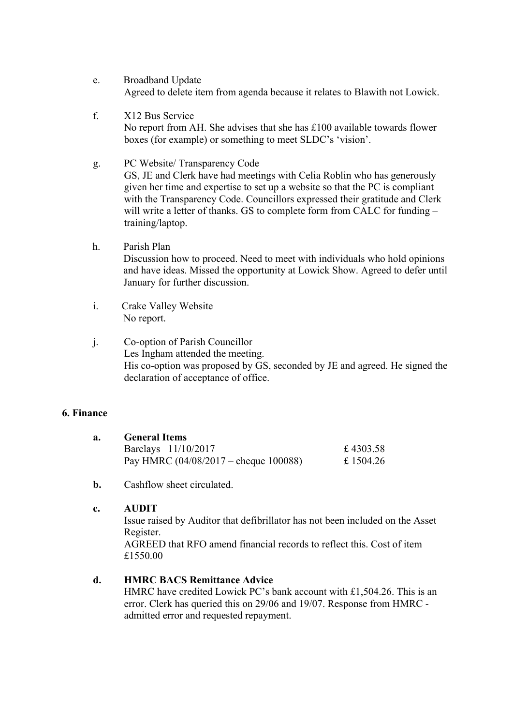- e. Broadband Update Agreed to delete item from agenda because it relates to Blawith not Lowick.
- f. X12 Bus Service No report from AH. She advises that she has £100 available towards flower boxes (for example) or something to meet SLDC's 'vision'.
- g. PC Website/ Transparency Code

GS, JE and Clerk have had meetings with Celia Roblin who has generously given her time and expertise to set up a website so that the PC is compliant with the Transparency Code. Councillors expressed their gratitude and Clerk will write a letter of thanks. GS to complete form from CALC for funding training/laptop.

- h. Parish Plan Discussion how to proceed. Need to meet with individuals who hold opinions and have ideas. Missed the opportunity at Lowick Show. Agreed to defer until January for further discussion.
- i. Crake Valley Website No report.
- j. Co-option of Parish Councillor Les Ingham attended the meeting. His co-option was proposed by GS, seconded by JE and agreed. He signed the declaration of acceptance of office.

## **6. Finance**

|  | <b>General Items</b>                            |           |
|--|-------------------------------------------------|-----------|
|  | Barclays 11/10/2017                             | £4303.58  |
|  | Pay HMRC $(04/08/2017 - \text{cheque } 100088)$ | £ 1504.26 |

**b.** Cashflow sheet circulated.

### **c. AUDIT**

Issue raised by Auditor that defibrillator has not been included on the Asset Register.

AGREED that RFO amend financial records to reflect this. Cost of item £1550.00

## **d. HMRC BACS Remittance Advice**

HMRC have credited Lowick PC's bank account with £1,504.26. This is an error. Clerk has queried this on 29/06 and 19/07. Response from HMRC admitted error and requested repayment.